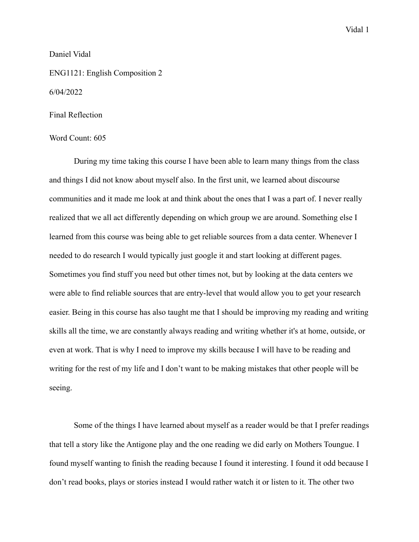## Daniel Vidal

ENG1121: English Composition 2

## 6/04/2022

## Final Reflection

## Word Count: 605

During my time taking this course I have been able to learn many things from the class and things I did not know about myself also. In the first unit, we learned about discourse communities and it made me look at and think about the ones that I was a part of. I never really realized that we all act differently depending on which group we are around. Something else I learned from this course was being able to get reliable sources from a data center. Whenever I needed to do research I would typically just google it and start looking at different pages. Sometimes you find stuff you need but other times not, but by looking at the data centers we were able to find reliable sources that are entry-level that would allow you to get your research easier. Being in this course has also taught me that I should be improving my reading and writing skills all the time, we are constantly always reading and writing whether it's at home, outside, or even at work. That is why I need to improve my skills because I will have to be reading and writing for the rest of my life and I don't want to be making mistakes that other people will be seeing.

Some of the things I have learned about myself as a reader would be that I prefer readings that tell a story like the Antigone play and the one reading we did early on Mothers Toungue. I found myself wanting to finish the reading because I found it interesting. I found it odd because I don't read books, plays or stories instead I would rather watch it or listen to it. The other two